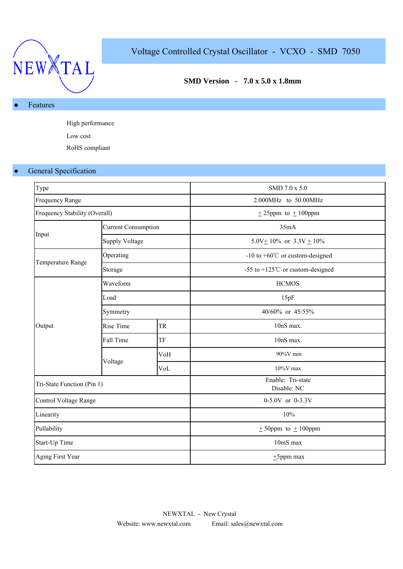

# Voltage Controlled Crystal Oscillator - VCXO - SMD 7050

## **SMD Version - 7.0 x 5.0 x 1.8mm**

### Features

High performance Low cost RoHS compliant

## **•** General Specification

| Type                          |                            |           | SMD 7.0 x 5.0                               |  |  |  |
|-------------------------------|----------------------------|-----------|---------------------------------------------|--|--|--|
| Frequency Range               |                            |           | 2.000MHz to 50.00MHz                        |  |  |  |
| Frequency Stability (Overall) |                            |           | $± 25$ ppm to $± 100$ ppm                   |  |  |  |
|                               | <b>Current Consumption</b> |           | 35mA                                        |  |  |  |
| Input                         | <b>Supply Voltage</b>      |           | 5.0V $\pm$ 10% or 3.3V $\pm$ 10%            |  |  |  |
|                               | Operating                  |           | -10 to +60 $^{\circ}$ C or custom-designed  |  |  |  |
| Temperature Range             | Storage                    |           | -55 to +125 $^{\circ}$ C or custom-designed |  |  |  |
|                               | Waveform                   |           | <b>HCMOS</b>                                |  |  |  |
|                               | Load                       |           | 15pF                                        |  |  |  |
|                               | Symmetry                   |           | 40/60% or 45/55%                            |  |  |  |
| Output                        | Rise Time                  | <b>TR</b> | 10nS max.                                   |  |  |  |
|                               | Fall Time                  | TF        | 10nS max.                                   |  |  |  |
|                               |                            | VoH       | 90%V min                                    |  |  |  |
|                               | Voltage                    | VoL       | $10\%$ V max                                |  |  |  |
| Tri-State Function (Pin 1)    |                            |           | Enable: Tri-state<br>Disable: NC            |  |  |  |
| Control Voltage Range         |                            |           | 0-5.0V or 0-3.3V                            |  |  |  |
| Linearity                     |                            |           | 10%                                         |  |  |  |
| Pullability                   |                            |           | $\pm$ 50ppm to $\pm$ 100ppm                 |  |  |  |
| Start-Up Time                 |                            |           | 10mS max                                    |  |  |  |
| Aging First Year              |                            |           | $±5$ ppm max                                |  |  |  |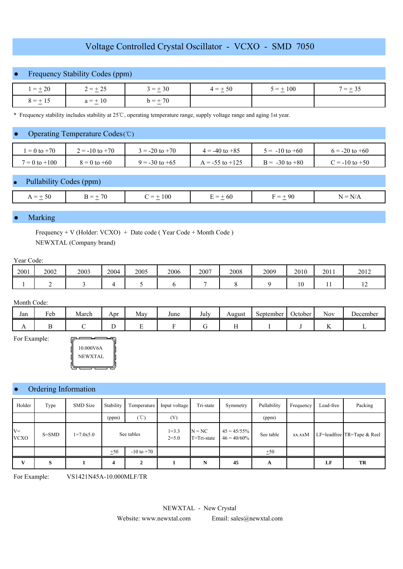## Voltage Controlled Crystal Oscillator - VCXO - SMD 7050

## **Frequency Stability Codes (ppm)**

|              | ______       |              |           |            |           |
|--------------|--------------|--------------|-----------|------------|-----------|
| $1 = \pm 20$ | $2 = \pm 25$ | $3 = \pm 30$ | $4 = +50$ | $5 = +100$ | $7 = +35$ |
| $8 = \pm 15$ | $a = \pm 10$ | $b = \pm 70$ |           |            |           |

\* Frequency stability includes stability at 25 ℃, operating temperature range, supply voltage range and aging 1st year.

#### Operating Temperature Codes (℃)

| $= 0$ to $+70$    | $\ge$ = -10 to +70 | $3 = -20$ to $+70$ | $4 = -40$ to $+85$ | $i = -10$ to +60   | $i = -20$ to $+60$      |
|-------------------|--------------------|--------------------|--------------------|--------------------|-------------------------|
| $7 = 0$ to $+100$ | $8 = 0$ to $+60$   | $9 = -30$ to $+65$ | $= -55$ to $+125$  | $B = -30$ to $+80$ | $\Gamma = -10$ to $+50$ |

### Pullability Codes (ppm)

| $=$<br>⊖∪<br>$\sim$ | $\overline{\phantom{a}}$<br>$\sim$ | 100<br>$\overline{\phantom{a}}$<br>$\sim$ $\sim$ | $\overline{\phantom{a}}$<br>61<br>$\sim$ | -96<br>$\overline{\phantom{m}}$<br>$\sim$ | N |
|---------------------|------------------------------------|--------------------------------------------------|------------------------------------------|-------------------------------------------|---|

#### **Marking**

Frequency + V (Holder: VCXO) + Date code ( Year Code + Month Code ) NEWXTAL (Company brand)

#### Year Code:

| 2001 | 2002 | 2003 | 2004 | 2005 | 2006 | 2007 | 2008 | 2009 | 2010          | 2011 | 2012           |
|------|------|------|------|------|------|------|------|------|---------------|------|----------------|
|      |      |      |      |      |      |      |      |      | $\sim$<br>1 V | . .  | $\overline{1}$ |

#### Month Code:

| Jan            | $\mathbf{r}$<br>Feb | March | Apr | May | June | $\mathbf{r}$ $\mathbf{r}$<br>July | August | -<br>September | October | $\sim$ $\sim$<br>Nov | $D$ ecember |
|----------------|---------------------|-------|-----|-----|------|-----------------------------------|--------|----------------|---------|----------------------|-------------|
| $\overline{1}$ |                     |       |     |     |      |                                   | . .    |                |         |                      |             |

For Example:



#### Ordering Information

| Holder               | Type      | <b>SMD</b> Size | Stability  | Temperature         | Input voltage          | Tri-state               | Symmetry                         | Pullability | Frequency | Lead-free | Packing                        |
|----------------------|-----------|-----------------|------------|---------------------|------------------------|-------------------------|----------------------------------|-------------|-----------|-----------|--------------------------------|
|                      |           |                 | (ppm)      | $({\rm ^{\circ}C})$ | (V)                    |                         |                                  | (ppm)       |           |           |                                |
| $V =$<br><b>VCXO</b> | $S = SMD$ | $1=7.0x5.0$     | See tables |                     | $1 = 3.3$<br>$2 = 5.0$ | $N = NC$<br>T=Tri-state | $45 = 45/55\%$<br>$46 = 40/60\%$ | See table   | xx.xxM    |           | LF=leadfree $TR = Tape & Reel$ |
|                      |           |                 | ±50        | $-10$ to $+70$      |                        |                         |                                  | ±50         |           |           |                                |
| v                    | S         |                 | 4          |                     |                        | N                       | 45                               | A           |           | LF        | TR                             |

For Example: VS1421N45A-10.000MLF/TR

NEWXTAL - New Crystal

Website: www.newxtal.com Email: sales@newxtal.com